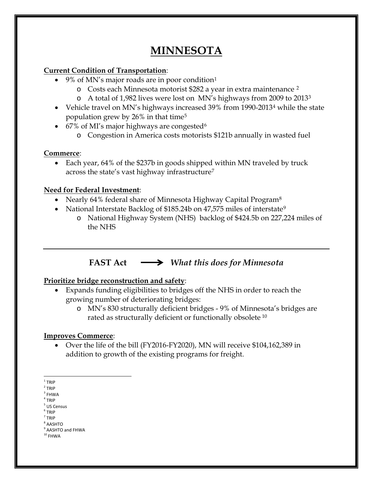# **MINNESOTA**

#### **Current Condition of Transportation**:

- 9% of MN's major roads are in poor condition<sup>[1](#page-0-0)</sup>
	- o Costs each Minnesota motorist \$282 a year in extra maintenance [2](#page-0-1)
	- o A total of 1,982 lives were lost on MN's highways from 2009 to 2013[3](#page-0-2)
- Vehicle travel on MN's highways increased 39% from 1990-2013[4](#page-0-3) while the state population grew by 26% in that time[5](#page-0-4)
- [6](#page-0-5)7% of MI's major highways are congested<sup>6</sup>
	- o Congestion in America costs motorists \$121b annually in wasted fuel

### **Commerce**:

• Each year, 64% of the \$237b in goods shipped within MN traveled by truck across the state's vast highway infrastructure[7](#page-0-6)

# **Need for Federal Investment**:

- Nearly 64% federal share of Minnesota Highway Capital Program<sup>[8](#page-0-7)</sup>
- National Interstate Backlog of \$185.24b on 47,575 miles of interstate<sup>[9](#page-0-8)</sup>
	- o National Highway System (NHS) backlog of \$424.5b on 227,224 miles of the NHS

# **FAST Act** *What this does for Minnesota*

# **Prioritize bridge reconstruction and safety**:

- Expands funding eligibilities to bridges off the NHS in order to reach the growing number of deteriorating bridges:
	- o MN's 830 structurally deficient bridges 9% of Minnesota's bridges are rated as structurally deficient or functionally obsolete [10](#page-0-9)

# **Improves Commerce**:

• Over the life of the bill (FY2016-FY2020), MN will receive \$104,162,389 in addition to growth of the existing programs for freight.

- <span id="page-0-2"></span> $3$  FHWA
- <span id="page-0-3"></span><sup>4</sup> TRIP

- <span id="page-0-5"></span><span id="page-0-4"></span><sup>6</sup> TRIP <sup>7</sup> TRIP
- <span id="page-0-7"></span><span id="page-0-6"></span><sup>8</sup> AASHTO

<span id="page-0-0"></span> $1$  TRIP

<span id="page-0-1"></span><sup>2</sup> TRIP

<sup>5</sup> US Census

<sup>&</sup>lt;sup>9</sup> AASHTO and FHWA

<span id="page-0-9"></span><span id="page-0-8"></span> $^{\rm 10}$  FHWA